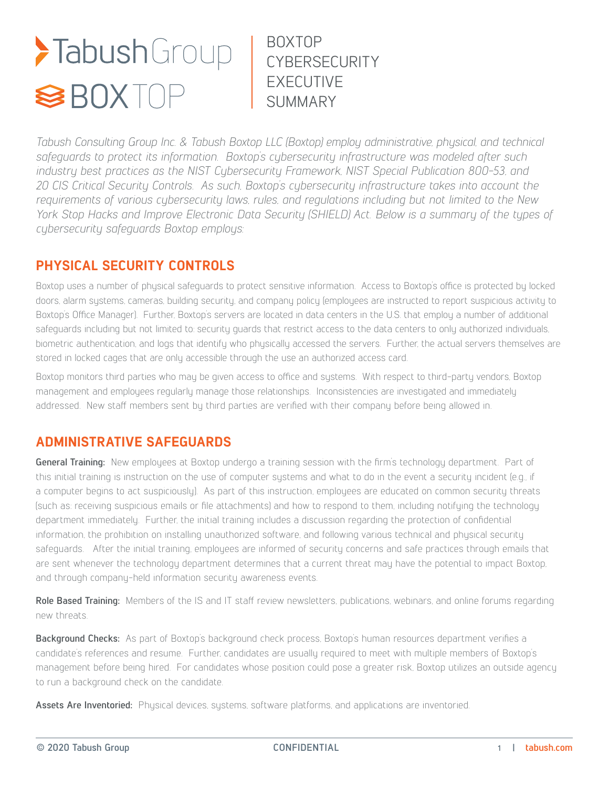# >TabushGroup<br><sup>S</sup>BOXTOP

BOXTOP **CYBERSECURITY** EXECUTIVE **SUMMARY** 

*Tabush Consulting Group Inc. & Tabush Boxtop LLC (Boxtop) employ administrative, physical, and technical safeguards to protect its information. Boxtop's cybersecurity infrastructure was modeled after such industry best practices as the NIST Cybersecurity Framework, NIST Special Publication 800-53, and 20 CIS Critical Security Controls. As such, Boxtop's cybersecurity infrastructure takes into account the requirements of various cybersecurity laws, rules, and regulations including but not limited to the New York Stop Hacks and Improve Electronic Data Security (SHIELD) Act. Below is a summary of the types of cybersecurity safeguards Boxtop employs:*

## **PHYSICAL SECURITY CONTROLS**

Boxtop uses a number of physical safeguards to protect sensitive information. Access to Boxtop's office is protected by locked doors, alarm systems, cameras, building security, and company policy (employees are instructed to report suspicious activity to Boxtop's Office Manager). Further, Boxtop's servers are located in data centers in the U.S. that employ a number of additional safeguards including but not limited to: security guards that restrict access to the data centers to only authorized individuals, biometric authentication, and logs that identify who physically accessed the servers. Further, the actual servers themselves are stored in locked cages that are only accessible through the use an authorized access card.

Boxtop monitors third parties who may be given access to office and systems. With respect to third-party vendors, Boxtop management and employees regularly manage those relationships. Inconsistencies are investigated and immediately addressed. New staff members sent by third parties are verified with their company before being allowed in.

### **ADMINISTRATIVE SAFEGUARDS**

**General Training:** New employees at Boxtop undergo a training session with the firm's technology department. Part of this initial training is instruction on the use of computer systems and what to do in the event a security incident (e.g., if a computer begins to act suspiciously). As part of this instruction, employees are educated on common security threats (such as: receiving suspicious emails or file attachments) and how to respond to them, including notifying the technology department immediately. Further, the initial training includes a discussion regarding the protection of confidential information, the prohibition on installing unauthorized software, and following various technical and physical security safeguards. After the initial training, employees are informed of security concerns and safe practices through emails that are sent whenever the technology department determines that a current threat may have the potential to impact Boxtop, and through company-held information security awareness events.

**Role Based Training:** Members of the IS and IT staff review newsletters, publications, webinars, and online forums regarding new threats.

**Background Checks:** As part of Boxtop's background check process, Boxtop's human resources department verifies a candidate's references and resume. Further, candidates are usually required to meet with multiple members of Boxtop's management before being hired. For candidates whose position could pose a greater risk, Boxtop utilizes an outside agency to run a background check on the candidate.

**Assets Are Inventoried:** Physical devices, systems, software platforms, and applications are inventoried.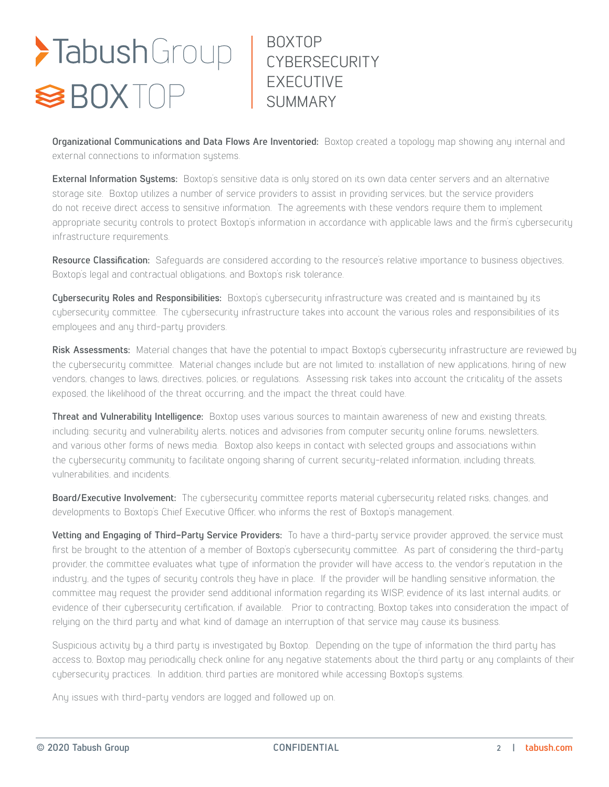# >TabushGroup<br><sup>S</sup>BOXTOP

BOXTOP **CYBERSECURITY** EXECUTIVE **SUMMARY** 

**Organizational Communications and Data Flows Are Inventoried:** Boxtop created a topology map showing any internal and external connections to information systems.

**External Information Systems:** Boxtop's sensitive data is only stored on its own data center servers and an alternative storage site. Boxtop utilizes a number of service providers to assist in providing services, but the service providers do not receive direct access to sensitive information. The agreements with these vendors require them to implement appropriate security controls to protect Boxtop's information in accordance with applicable laws and the firm's cybersecurity infrastructure requirements.

**Resource Classification:** Safeguards are considered according to the resource's relative importance to business objectives, Boxtop's legal and contractual obligations, and Boxtop's risk tolerance.

**Cybersecurity Roles and Responsibilities:** Boxtop's cybersecurity infrastructure was created and is maintained by its cybersecurity committee. The cybersecurity infrastructure takes into account the various roles and responsibilities of its employees and any third-party providers.

Risk Assessments: Material changes that have the potential to impact Boxtop's cybersecurity infrastructure are reviewed by the cybersecurity committee. Material changes include but are not limited to: installation of new applications, hiring of new vendors, changes to laws, directives, policies, or regulations. Assessing risk takes into account the criticality of the assets exposed, the likelihood of the threat occurring, and the impact the threat could have.

**Threat and Vulnerability Intelligence:** Boxtop uses various sources to maintain awareness of new and existing threats, including: security and vulnerability alerts, notices and advisories from computer security online forums, newsletters, and various other forms of news media. Boxtop also keeps in contact with selected groups and associations within the cybersecurity community to facilitate ongoing sharing of current security-related information, including threats, vulnerabilities, and incidents.

**Board/Executive Involvement:** The cybersecurity committee reports material cybersecurity related risks, changes, and developments to Boxtop's Chief Executive Officer, who informs the rest of Boxtop's management.

**Vetting and Engaging of Third-Party Service Providers:** To have a third-party service provider approved, the service must first be brought to the attention of a member of Boxtop's cybersecurity committee. As part of considering the third-party provider, the committee evaluates what type of information the provider will have access to, the vendor's reputation in the industry, and the types of security controls they have in place. If the provider will be handling sensitive information, the committee may request the provider send additional information regarding its WISP, evidence of its last internal audits, or evidence of their cybersecurity certification, if available. Prior to contracting, Boxtop takes into consideration the impact of relying on the third party and what kind of damage an interruption of that service may cause its business.

Suspicious activity by a third party is investigated by Boxtop. Depending on the type of information the third party has access to, Boxtop may periodically check online for any negative statements about the third party or any complaints of their cybersecurity practices. In addition, third parties are monitored while accessing Boxtop's systems.

Any issues with third-party vendors are logged and followed up on.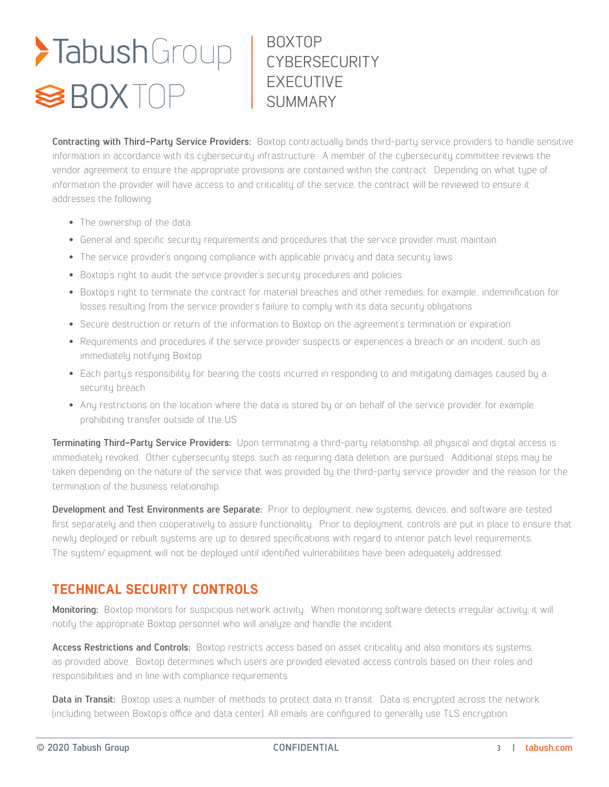## BOXTOP CYBERSECURITY EXECUTIVE SUMMARY

**Contracting with Third-Party Service Providers:** Boxtop contractually binds third-party service providers to handle sensitive information in accordance with its cybersecurity infrastructure. A member of the cybersecurity committee reviews the vendor agreement to ensure the appropriate provisions are contained within the contract. Depending on what type of information the provider will have access to and criticality of the service, the contract will be reviewed to ensure it addresses the following:

- The ownership of the data
- General and specific security requirements and procedures that the service provider must maintain
- The service provider's ongoing compliance with applicable privacy and data security laws
- Boxtop's right to audit the service provider's security procedures and policies
- Boxtop's right to terminate the contract for material breaches and other remedies, for example., indemnification for losses resulting from the service provider's failure to comply with its data security obligations
- Secure destruction or return of the information to Boxtop on the agreement's termination or expiration
- Requirements and procedures if the service provider suspects or experiences a breach or an incident, such as immediately notifying Boxtop
- Each party's responsibility for bearing the costs incurred in responding to and mitigating damages caused by a security breach
- Any restrictions on the location where the data is stored by or on behalf of the service provider, for example, prohibiting transfer outside of the US

**Terminating Third-Party Service Providers:** Upon terminating a third-party relationship, all physical and digital access is immediately revoked. Other cybersecurity steps, such as requiring data deletion, are pursued. Additional steps may be taken depending on the nature of the service that was provided by the third-party service provider and the reason for the termination of the business relationship.

**Development and Test Environments are Separate:** Prior to deployment, new systems, devices, and software are tested first separately and then cooperatively to assure functionality. Prior to deployment, controls are put in place to ensure that newly deployed or rebuilt systems are up to desired specifications with regard to interior patch level requirements. The system/ equipment will not be deployed until identified vulnerabilities have been adequately addressed.

### **TECHNICAL SECURITY CONTROLS**

**Monitoring:** Boxtop monitors for suspicious network activity. When monitoring software detects irregular activity, it will notify the appropriate Boxtop personnel who will analyze and handle the incident.

**Access Restrictions and Controls:** Boxtop restricts access based on asset criticality and also monitors its systems, as provided above. Boxtop determines which users are provided elevated access controls based on their roles and responsibilities and in line with compliance requirements.

**Data in Transit:** Boxtop uses a number of methods to protect data in transit. Data is encrypted across the network (including between Boxtop's office and data center). All emails are configured to generally use TLS encryption.